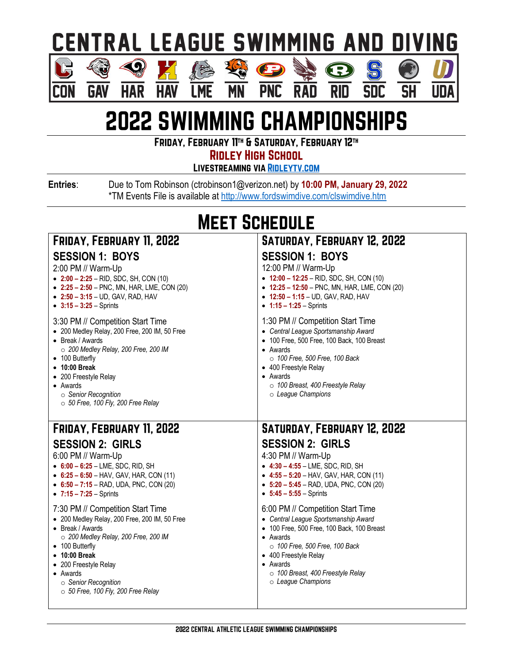### **CENTRAL LEAGUE SWIMMING AND DIVING**

S

**SDC** 

 $\overline{\mathsf{SH}}$ 

Ш

Œ

**RID** 

经

**MN** 

#### $\langle 0 \rangle$ **GAV HAR** Con

**HA** 

**LME** 

## **2022 SWIMMING CHAMPIONSHIPS**

**PNC** 

**RAD** 

FRIDAY, FEBRUARY 11TH & SATURDAY, FEBRUARY 12TH

**RIDLEY HIGH SCHOOL** 

**LIVESTREAMING VIA RIDLEYTV.COM** 

Entries:

Due to Tom Robinson (ctrobinson1@verizon.net) by 10:00 PM, January 29, 2022 \*TM Events File is available at http://www.fordswimdive.com/clswimdive.htm

### **MEET SCHEDULE**

| <b>FRIDAY, FEBRUARY 11, 2022</b><br><b>SESSION 1: BOYS</b><br>2:00 PM // Warm-Up<br>$\bullet$ 2:00 - 2:25 - RID, SDC, SH, CON (10)<br>• $2:25 - 2:50 - PNC$ , MN, HAR, LME, CON (20)<br>• $2:50 - 3:15 - UD$ , GAV, RAD, HAV<br>• $3:15 - 3:25 -$ Sprints                                         | SATURDAY, FEBRUARY 12, 2022<br><b>SESSION 1: BOYS</b><br>12:00 PM // Warm-Up<br>$\bullet$ 12:00 - 12:25 - RID, SDC, SH, CON (10)<br>$\bullet$ 12:25 - 12:50 - PNC, MN, HAR, LME, CON (20)<br>$\bullet$ 12:50 – 1:15 – UD, GAV, RAD, HAV<br>• $1:15 - 1:25 -$ Sprints              |
|---------------------------------------------------------------------------------------------------------------------------------------------------------------------------------------------------------------------------------------------------------------------------------------------------|-----------------------------------------------------------------------------------------------------------------------------------------------------------------------------------------------------------------------------------------------------------------------------------|
| 3:30 PM // Competition Start Time<br>• 200 Medley Relay, 200 Free, 200 IM, 50 Free<br>• Break / Awards<br>$\circ$ 200 Medley Relay, 200 Free, 200 IM<br>• 100 Butterfly<br>• 10:00 Break<br>• 200 Freestyle Relay<br>• Awards<br>○ Senior Recognition<br>$\circ$ 50 Free, 100 Fly, 200 Free Relay | 1:30 PM // Competition Start Time<br>• Central League Sportsmanship Award<br>• 100 Free, 500 Free, 100 Back, 100 Breast<br>• Awards<br>$\circ$ 100 Free, 500 Free, 100 Back<br>• 400 Freestyle Relay<br>• Awards<br>o 100 Breast, 400 Freestyle Relay<br>$\circ$ League Champions |
|                                                                                                                                                                                                                                                                                                   |                                                                                                                                                                                                                                                                                   |
| <b>FRIDAY, FEBRUARY 11, 2022</b>                                                                                                                                                                                                                                                                  | <b>SATURDAY, FEBRUARY 12, 2022</b>                                                                                                                                                                                                                                                |
| <b>SESSION 2: GIRLS</b><br>6:00 PM // Warm-Up<br>$\bullet$ 6:00 - 6:25 - LME, SDC, RID, SH<br>• $6:25 - 6:50 - HAV$ , GAV, HAR, CON (11)<br>• $6:50 - 7:15 - RAD$ , UDA, PNC, CON (20)<br>• $7:15 - 7:25 -$ Sprints                                                                               | <b>SESSION 2: GIRLS</b><br>4:30 PM // Warm-Up<br>$\bullet$ 4:30 - 4:55 - LME, SDC, RID, SH<br>• $4:55 - 5:20 - HAV$ , GAV, HAR, CON (11)<br>$-5:20 - 5:45 - RAD$ , UDA, PNC, CON (20)<br>• $5:45 - 5:55 -$ Sprints                                                                |